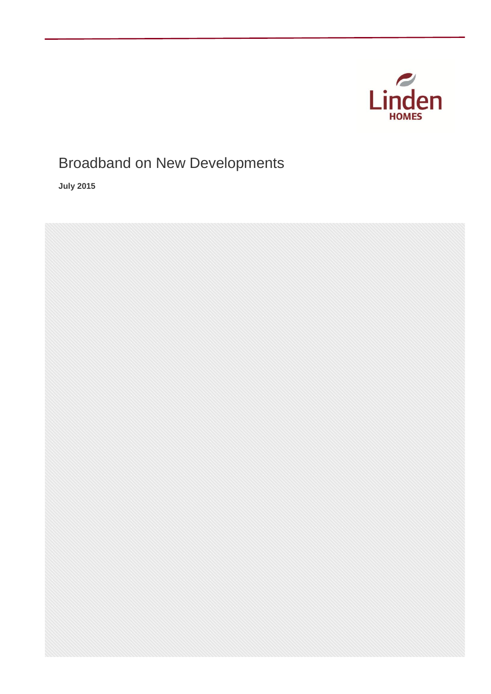

# Broadband on New Developments

**July 2015**

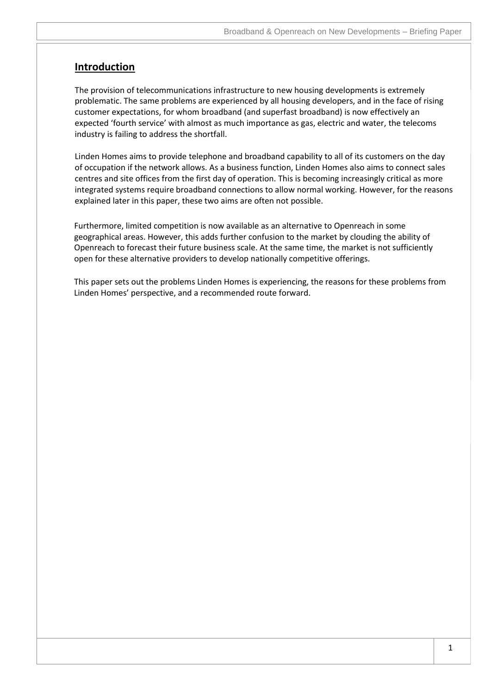### **Introduction**

The provision of telecommunications infrastructure to new housing developments is extremely problematic. The same problems are experienced by all housing developers, and in the face of rising customer expectations, for whom broadband (and superfast broadband) is now effectively an expected 'fourth service' with almost as much importance as gas, electric and water, the telecoms industry is failing to address the shortfall.

Linden Homes aims to provide telephone and broadband capability to all of its customers on the day of occupation if the network allows. As a business function, Linden Homes also aims to connect sales centres and site offices from the first day of operation. This is becoming increasingly critical as more integrated systems require broadband connections to allow normal working. However, for the reasons explained later in this paper, these two aims are often not possible.

Furthermore, limited competition is now available as an alternative to Openreach in some geographical areas. However, this adds further confusion to the market by clouding the ability of Openreach to forecast their future business scale. At the same time, the market is not sufficiently open for these alternative providers to develop nationally competitive offerings.

This paper sets out the problems Linden Homes is experiencing, the reasons for these problems from Linden Homes' perspective, and a recommended route forward.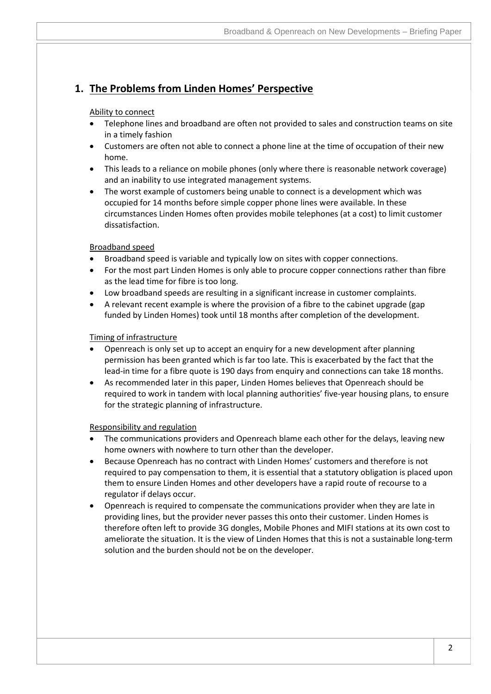## **1. The Problems from Linden Homes' Perspective**

### Ability to connect

- Telephone lines and broadband are often not provided to sales and construction teams on site in a timely fashion
- Customers are often not able to connect a phone line at the time of occupation of their new home.
- This leads to a reliance on mobile phones (only where there is reasonable network coverage) and an inability to use integrated management systems.
- The worst example of customers being unable to connect is a development which was occupied for 14 months before simple copper phone lines were available. In these circumstances Linden Homes often provides mobile telephones (at a cost) to limit customer dissatisfaction.

### Broadband speed

- Broadband speed is variable and typically low on sites with copper connections.
- For the most part Linden Homes is only able to procure copper connections rather than fibre as the lead time for fibre is too long.
- Low broadband speeds are resulting in a significant increase in customer complaints.
- A relevant recent example is where the provision of a fibre to the cabinet upgrade (gap funded by Linden Homes) took until 18 months after completion of the development.

### Timing of infrastructure

- Openreach is only set up to accept an enquiry for a new development after planning permission has been granted which is far too late. This is exacerbated by the fact that the lead-in time for a fibre quote is 190 days from enquiry and connections can take 18 months.
- As recommended later in this paper, Linden Homes believes that Openreach should be required to work in tandem with local planning authorities' five-year housing plans, to ensure for the strategic planning of infrastructure.

### Responsibility and regulation

- The communications providers and Openreach blame each other for the delays, leaving new home owners with nowhere to turn other than the developer.
- Because Openreach has no contract with Linden Homes' customers and therefore is not required to pay compensation to them, it is essential that a statutory obligation is placed upon them to ensure Linden Homes and other developers have a rapid route of recourse to a regulator if delays occur.
- Openreach is required to compensate the communications provider when they are late in providing lines, but the provider never passes this onto their customer. Linden Homes is therefore often left to provide 3G dongles, Mobile Phones and MIFI stations at its own cost to ameliorate the situation. It is the view of Linden Homes that this is not a sustainable long-term solution and the burden should not be on the developer.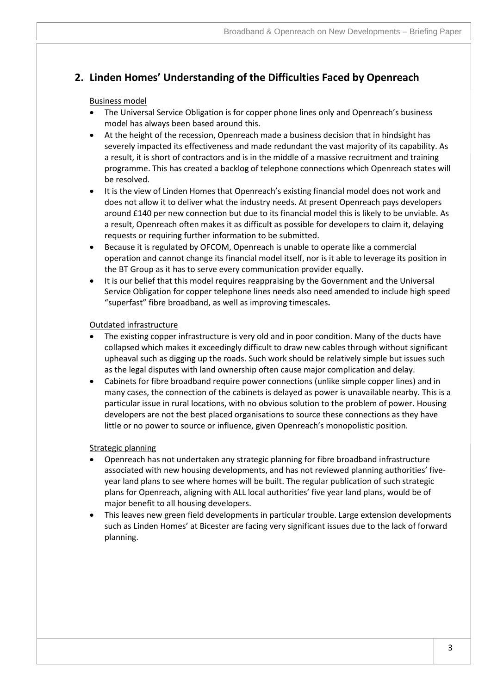### **2. Linden Homes' Understanding of the Difficulties Faced by Openreach**

### Business model

- The Universal Service Obligation is for copper phone lines only and Openreach's business model has always been based around this.
- At the height of the recession, Openreach made a business decision that in hindsight has severely impacted its effectiveness and made redundant the vast majority of its capability. As a result, it is short of contractors and is in the middle of a massive recruitment and training programme. This has created a backlog of telephone connections which Openreach states will be resolved.
- It is the view of Linden Homes that Openreach's existing financial model does not work and does not allow it to deliver what the industry needs. At present Openreach pays developers around £140 per new connection but due to its financial model this is likely to be unviable. As a result, Openreach often makes it as difficult as possible for developers to claim it, delaying requests or requiring further information to be submitted.
- Because it is regulated by OFCOM, Openreach is unable to operate like a commercial operation and cannot change its financial model itself, nor is it able to leverage its position in the BT Group as it has to serve every communication provider equally.
- It is our belief that this model requires reappraising by the Government and the Universal Service Obligation for copper telephone lines needs also need amended to include high speed "superfast" fibre broadband, as well as improving timescales**.**

### Outdated infrastructure

- The existing copper infrastructure is very old and in poor condition. Many of the ducts have collapsed which makes it exceedingly difficult to draw new cables through without significant upheaval such as digging up the roads. Such work should be relatively simple but issues such as the legal disputes with land ownership often cause major complication and delay.
- Cabinets for fibre broadband require power connections (unlike simple copper lines) and in many cases, the connection of the cabinets is delayed as power is unavailable nearby. This is a particular issue in rural locations, with no obvious solution to the problem of power. Housing developers are not the best placed organisations to source these connections as they have little or no power to source or influence, given Openreach's monopolistic position.

### Strategic planning

- Openreach has not undertaken any strategic planning for fibre broadband infrastructure associated with new housing developments, and has not reviewed planning authorities' fiveyear land plans to see where homes will be built. The regular publication of such strategic plans for Openreach, aligning with ALL local authorities' five year land plans, would be of major benefit to all housing developers.
- This leaves new green field developments in particular trouble. Large extension developments such as Linden Homes' at Bicester are facing very significant issues due to the lack of forward planning.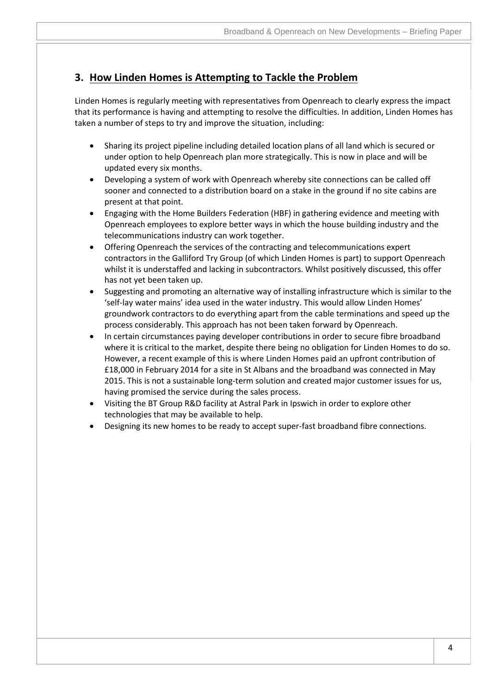### **3. How Linden Homes is Attempting to Tackle the Problem**

Linden Homes is regularly meeting with representatives from Openreach to clearly express the impact that its performance is having and attempting to resolve the difficulties. In addition, Linden Homes has taken a number of steps to try and improve the situation, including:

- Sharing its project pipeline including detailed location plans of all land which is secured or under option to help Openreach plan more strategically. This is now in place and will be updated every six months.
- Developing a system of work with Openreach whereby site connections can be called off sooner and connected to a distribution board on a stake in the ground if no site cabins are present at that point.
- Engaging with the Home Builders Federation (HBF) in gathering evidence and meeting with Openreach employees to explore better ways in which the house building industry and the telecommunications industry can work together.
- Offering Openreach the services of the contracting and telecommunications expert contractors in the Galliford Try Group (of which Linden Homes is part) to support Openreach whilst it is understaffed and lacking in subcontractors. Whilst positively discussed, this offer has not yet been taken up.
- Suggesting and promoting an alternative way of installing infrastructure which is similar to the 'self-lay water mains' idea used in the water industry. This would allow Linden Homes' groundwork contractors to do everything apart from the cable terminations and speed up the process considerably. This approach has not been taken forward by Openreach.
- In certain circumstances paying developer contributions in order to secure fibre broadband where it is critical to the market, despite there being no obligation for Linden Homes to do so. However, a recent example of this is where Linden Homes paid an upfront contribution of £18,000 in February 2014 for a site in St Albans and the broadband was connected in May 2015. This is not a sustainable long-term solution and created major customer issues for us, having promised the service during the sales process.
- Visiting the BT Group R&D facility at Astral Park in Ipswich in order to explore other technologies that may be available to help.
- Designing its new homes to be ready to accept super-fast broadband fibre connections.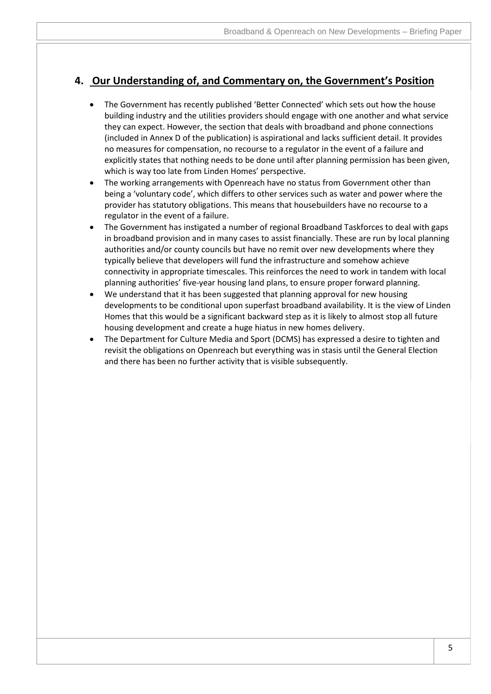### **4. Our Understanding of, and Commentary on, the Government's Position**

- The Government has recently published 'Better Connected' which sets out how the house building industry and the utilities providers should engage with one another and what service they can expect. However, the section that deals with broadband and phone connections (included in Annex D of the publication) is aspirational and lacks sufficient detail. It provides no measures for compensation, no recourse to a regulator in the event of a failure and explicitly states that nothing needs to be done until after planning permission has been given, which is way too late from Linden Homes' perspective.
- The working arrangements with Openreach have no status from Government other than being a 'voluntary code', which differs to other services such as water and power where the provider has statutory obligations. This means that housebuilders have no recourse to a regulator in the event of a failure.
- The Government has instigated a number of regional Broadband Taskforces to deal with gaps in broadband provision and in many cases to assist financially. These are run by local planning authorities and/or county councils but have no remit over new developments where they typically believe that developers will fund the infrastructure and somehow achieve connectivity in appropriate timescales. This reinforces the need to work in tandem with local planning authorities' five-year housing land plans, to ensure proper forward planning.
- We understand that it has been suggested that planning approval for new housing developments to be conditional upon superfast broadband availability. It is the view of Linden Homes that this would be a significant backward step as it is likely to almost stop all future housing development and create a huge hiatus in new homes delivery.
- The Department for Culture Media and Sport (DCMS) has expressed a desire to tighten and revisit the obligations on Openreach but everything was in stasis until the General Election and there has been no further activity that is visible subsequently.